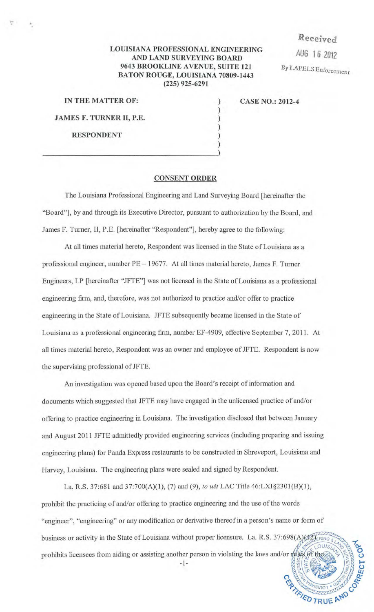## **Received**

**AUG 16 2012**  By LAPELS Enforcement

**ED TRUE AND** 

## **LOUISIANA PROFESSIONAL ENGINEERING AND LAND SURVEYING BOARD 9643 BROOKLINE A VENUE, SUITE 121 BATON ROUGE, LOUISIANA 70809-1443 (225) 925-6291**

) ) ) ) )

**IN THE MATTER OF: JAMES F. TURNER II, P.E. RESPONDENT** 

) where the contract of  $\mathcal{L}$  and  $\mathcal{L}$  are the contract of  $\mathcal{L}$ 

·- ..

**CASE NO.: 2012-4** 

## **CONSENT ORDER**

The Louisiana Professional Engineering and Land Surveying Board [hereinafter the "Board"], by and through its Executive Director, pursuant to authorization by the Board, and James F. Turner, II, P.E. [hereinafter "Respondent"], hereby agree to the following:

At all times material hereto, Respondent was licensed in the State of Louisiana as a professional engineer, number PE - 19677. At all times material hereto, James F. Turner Engineers, LP [hereinafter "JFTE"] was not licensed in the State of Louisiana as a professional engineering firm, and, therefore, was not authorized to practice and/or offer to practice engineering in the State of Louisiana. JFTE subsequently became licensed in the State of Louisiana as a professional engineering finn, number EF-4909, effective September 7, 2011. At all times material hereto, Respondent was an owner and employee of JFTE. Respondent is now the supervising professional of JFTE.

An investigation was opened based upon the Board's receipt of information and documents which suggested that JFTE may have engaged in the unlicensed practice of and/or offering to practice engineering in Louisiana. The investigation disclosed that between January and August 2011 JFTE admittedly provided engineering services (including preparing and issuing engineering plans) for Panda Express restaurants to be constructed in Shreveport, Louisiana and Harvey, Louisiana. The engineering plans were sealed and signed by Respondent.

La. R.S. 37:681 and 37:700(A)(l), (7) and (9), *to wit* LAC Title 46:LXI§2301(B)(1), prohibit the practicing of and/or offering to practice engineering and the use of the words "engineer", "engineering" or any modification or derivative thereof in a person's name or form of business or activity in the State of Louisiana without proper licensure. La. R.S. 37:698(A)( $\mathbb{Z}_2^2$ ). prohibits licensees from aiding or assisting another person in violating the laws and/or miles of th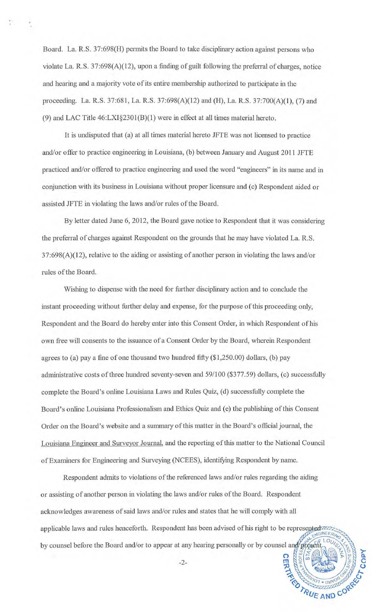Board. La. R.S. 37:698(H) permits the Board to take disciplinary action against persons who violate La. R.S. 37:698(A)(12), upon a finding of guilt following the preferral of charges, notice and hearing and a majority vote of its entire membership authorized to participate in the proceeding. La. R.S. 37:681, La. R.S. 37:698(A)(12) and (H), La. R.S. 37:700(A)(l), (7) and (9) and LAC Title 46:LXI§2301(B)(l) were in effect at all times material hereto.

It is undisputed that (a) at all times material hereto JFTE was not licensed to practice and/or offer to practice engineering in Louisiana, (b) between January and August 2011 JFTE practiced and/or offered to practice engineering and used the word "engineers" in its name and in conjunction with its business in Louisiana without proper licensure and (c) Respondent aided or assisted JFTE in violating the laws and/or rules of the Board.

By letter dated June 6, 2012, the Board gave notice to Respondent that it was considering the preferral of charges against Respondent on the grounds that he may have violated La. R.S. 37:698(A)(12), relative to the aiding or assisting of another person in violating the laws and/or rules of the Board.

Wishing to dispense with the need for further disciplinary action and to conclude the instant proceeding without further delay and expense, for the purpose of this proceeding only, Respondent and the Board do hereby enter into this Consent Order, in which Respondent of his own free will consents to the issuance of a Consent Order by the Board, wherein Respondent agrees to (a) pay a fine of one thousand two hundred fifty (\$1,250.00) dollars, (b) pay administrative costs of three hundred seventy-seven and 59/100 (\$377.59) dollars, (c) successfully complete the Board's online Louisiana Laws and Rules Quiz, (d) successfully complete the Board's online Louisiana Professionalism and Ethics Quiz and (e) the publishing of this Consent Order on the Board's website and a summary of this matter in the Board's official journal, the Louisiana Engineer and Surveyor Journal, and the reporting of this matter to the National Council of Examiners for Engineering and Surveying (NCEES), identifying Respondent by name.

Respondent admits to violations of the referenced laws and/or rules regarding the aiding or assisting of another person in violating the laws and/or rules ofthe Board. Respondent acknowledges awareness of said laws and/or rules and states that he will comply with all applicable laws and rules henceforth. Respondent has been advised of his right to be represented by counsel before the Board and/or to appear at any hearing personally or by counsel and present

,... a.  $\mathbf C$  $\mathbf{C}$ 

RUE AND CORR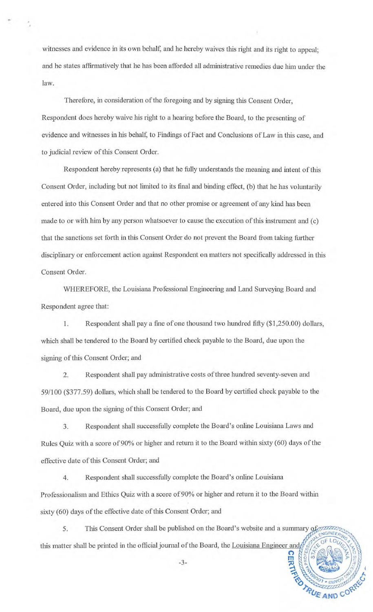witnesses and evidence in its own behalf, and he hereby waives this right and its right to appeal; and he states affirmatively that he has been afforded all administrative remedies due him under the law.

. I

> Therefore, in consideration of the foregoing and by signing this Consent Order, Respondent does hereby waive his right to a hearing before the Board, to the presenting of evidence and witnesses in his behalf, to Findings of Fact and Conclusions of Law in this case, and to judicial review of this Consent Order.

> Respondent hereby represents (a) that he fully understands the meaning and intent of this Consent Order, including but not limited to its final and binding effect, (b) that he has voluntarily entered into this Consent Order and that no other promise or agreement of any kind has been made to or with him by any person whatsoever to cause the execution of this instrument and  $(c)$ that the sanctions set forth in this Consent Order do not prevent the Board from taking further disciplinary or enforcement action against Respondent on matters not specifically addressed in this Consent Order.

WHEREFORE, the Louisiana Professional Engineering and Land Surveying Board and Respondent agree that:

1. Respondent shall pay a fine of one thousand two hundred fifty (\$1,250.00) dollars, which shall be tendered to the Board by certified check payable to the Board, due upon the signing of this Consent Order; and

2. Respondent shall pay administrative costs of three hundred seventy-seven and 59/100 (\$377.59) dollars, which shall be tendered to the Board by certified check payable to the Board, due upon the signing of this Consent Order; and

3. Respondent shall successfully complete the Board's online Louisiana Laws and Rules Quiz with a score of 90% or higher and return it to the Board within sixty (60) days of the effective date of this Consent Order; and

4. Respondent shall successfully complete the Board's online Louisiana Professionalism and Ethics Quiz with a score of 90% or higher and return it to the Board within sixty (60) days of the effective date of this Consent Order; and

This Consent Order shall be published on the Board's website and a summary of 5. this matter shall be printed in the official journal of the Board, the Louisiana Engineer and

**RUE AND CORR** 

-3-